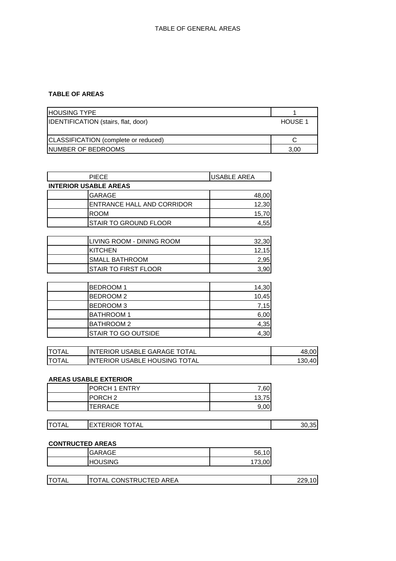### **TABLE OF AREAS**

| <b>HOUSING TYPE</b>                  |                |
|--------------------------------------|----------------|
| IDENTIFICATION (stairs, flat, door)  | <b>HOUSE 1</b> |
|                                      |                |
| CLASSIFICATION (complete or reduced) |                |
| INUMBER OF BEDROOMS                  | 3,00           |

| <b>PIECE</b>                 | <b>USABLE AREA</b> |  |
|------------------------------|--------------------|--|
| <b>INTERIOR USABLE AREAS</b> |                    |  |
| <b>GARAGE</b>                | 48,00              |  |
| ENTRANCE HALL AND CORRIDOR   | 12,30              |  |
| <b>ROOM</b>                  | 15,70              |  |
| <b>STAIR TO GROUND FLOOR</b> | 4,55               |  |
|                              |                    |  |
| LIVING ROOM - DINING ROOM    | 32,30              |  |
| <b>KITCHEN</b>               | 12,15              |  |
| <b>SMALL BATHROOM</b>        | 2,95               |  |
| <b>STAIR TO FIRST FLOOR</b>  | 3,90               |  |
|                              |                    |  |
| <b>BEDROOM1</b>              | 14,30              |  |
|                              |                    |  |

| --------                   | .     |
|----------------------------|-------|
| <b>BEDROOM2</b>            | 10,45 |
| <b>BEDROOM3</b>            | 7,15  |
| <b>BATHROOM 1</b>          | 6,00  |
| <b>IBATHROOM 2</b>         | 4,35  |
| <b>STAIR TO GO OUTSIDE</b> | 4,30  |

| <b>ITOTAL</b> | IINTERIOR USABLE GARAGE TOTAL         | 48,00 |
|---------------|---------------------------------------|-------|
| <b>ITOTAL</b> | <b>IINTERIOR USABLE HOUSING TOTAL</b> | .40   |

### **AREAS USABLE EXTERIOR**

| <b>PORCH 1 ENTRY</b> | 7,60                 |
|----------------------|----------------------|
| PORCH <sub>2</sub>   | 75<br>12<br>ιυ,<br>ັ |
| <b>TERRACE</b>       | 9,00                 |

| <b>TOTAL</b> | <b>EXTERIOR TOTAL</b> | 30,35 |
|--------------|-----------------------|-------|
|              |                       |       |

## **CONTRUCTED AREAS**

|    | <b>GARAGE</b>      | 56 |
|----|--------------------|----|
| нc | <b>JSING</b><br>ור | 70 |

| ITO <sup>-</sup><br>CONSTRUCTED.<br>AREA<br>`TA∟<br>"AL |
|---------------------------------------------------------|
|---------------------------------------------------------|